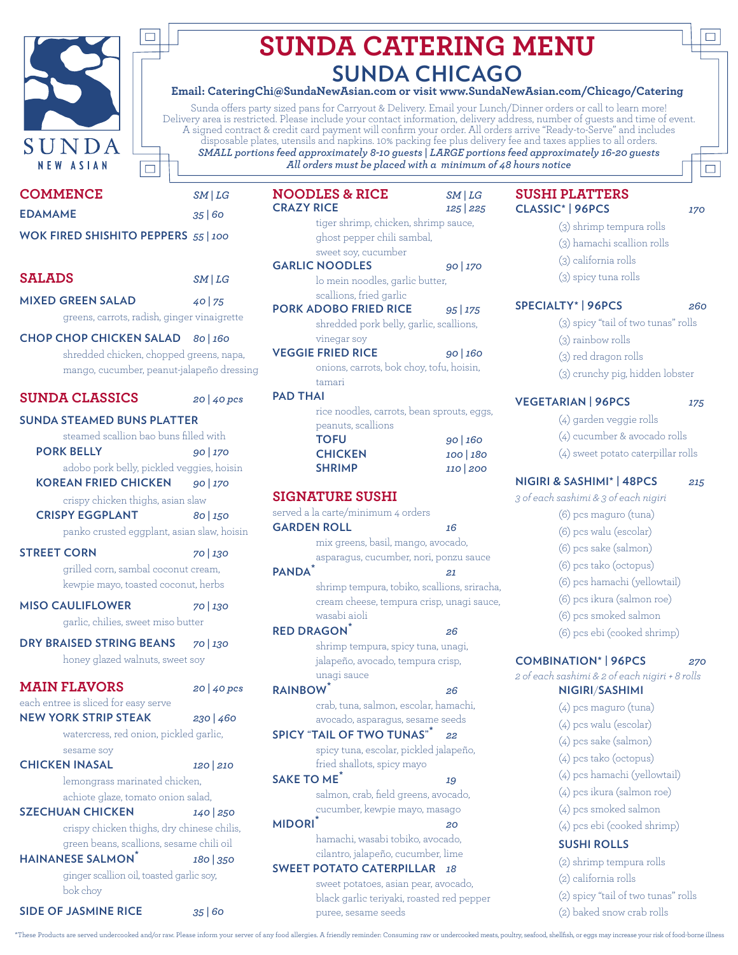

# **SUNDA CATERING MENU SUNDA CHICAGO**

#### **Email: CateringChi@SundaNewAsian.com or visit www.SundaNewAsian.com/Chicago/Catering**

Sunda offers party sized pans for Carryout & Delivery. Email your Lunch/Dinner orders or call to learn more! Delivery area is restricted. Please include your contact information, delivery address, number of guests and time of event. A signed contract & credit card payment will confirm your order. All orders arrive "Ready-to-Serve" and includes disposable plates, utensils and napkins. 10% packing fee plus delivery fee and taxes applies to all orders. *SMALL portions feed approximately 8-10 guests | LARGE portions feed approximately 16-20 guests All orders must be placed with a minimum of 48 hours notice*

| <b>COMMENCE</b>                                                       | SM LG                     |  |
|-----------------------------------------------------------------------|---------------------------|--|
| <b>EDAMAME</b>                                                        | 35 60                     |  |
| WOK FIRED SHISHITO PEPPERS 55   100                                   |                           |  |
|                                                                       |                           |  |
| <b>SALADS</b>                                                         | SM LG                     |  |
| <b>MIXED GREEN SALAD</b>                                              | 40 75                     |  |
| greens, carrots, radish, ginger vinaigrette                           |                           |  |
| CHOP CHOP CHICKEN SALAD 80   160                                      |                           |  |
| shredded chicken, chopped greens, napa,                               |                           |  |
| mango, cucumber, peanut-jalapeño dressing                             |                           |  |
| <b>SUNDA CLASSICS</b>                                                 | $20 \mid 40 \text{ }$ pcs |  |
| <b>SUNDA STEAMED BUNS PLATTER</b>                                     |                           |  |
| steamed scallion bao buns filled with                                 |                           |  |
| <b>PORK BELLY</b>                                                     | 90 170                    |  |
| adobo pork belly, pickled veggies, hoisin                             |                           |  |
| <b>KOREAN FRIED CHICKEN</b>                                           | 90 170                    |  |
| crispy chicken thighs, asian slaw<br><b>CRISPY EGGPLANT</b>           | 80 150                    |  |
| panko crusted eggplant, asian slaw, hoisin                            |                           |  |
|                                                                       |                           |  |
| <b>STREET CORN</b><br>grilled corn, sambal coconut cream,             | 70 1.30                   |  |
| kewpie mayo, toasted coconut, herbs                                   |                           |  |
| <b>MISO CAULIFLOWER</b>                                               | 70 1.30                   |  |
| garlic, chilies, sweet miso butter                                    |                           |  |
|                                                                       |                           |  |
| DRY BRAISED STRING BEANS 70   130<br>honey glazed walnuts, sweet soy  |                           |  |
|                                                                       |                           |  |
| <b>MAIN FLAVORS</b>                                                   | 20   40 pcs               |  |
| each entree is sliced for easy serve                                  |                           |  |
| <b>NEW YORK STRIP STEAK</b><br>watercress, red onion, pickled garlic, | 230 460                   |  |
| sesame soy                                                            |                           |  |
| <b>CHICKEN INASAL</b>                                                 | 120 210                   |  |
| lemongrass marinated chicken,                                         |                           |  |
| achiote glaze, tomato onion salad,                                    |                           |  |
| <b>SZECHUAN CHICKEN</b>                                               | 140 250                   |  |
| crispy chicken thighs, dry chinese chilis,                            |                           |  |
| green beans, scallions, sesame chili oil                              |                           |  |
| <b>HAINANESE SALMON</b>                                               | 180 350                   |  |
| ginger scallion oil, toasted garlic soy,<br>bok choy                  |                           |  |
| <b>SIDE OF JASMINE RICE</b>                                           | 35 60                     |  |

| <b>NOODLES &amp; RICE</b><br><b>CRAZY RICE</b>            | SM LG               |
|-----------------------------------------------------------|---------------------|
|                                                           | 125 225             |
| tiger shrimp, chicken, shrimp sauce,                      |                     |
| ghost pepper chili sambal,                                |                     |
| sweet soy, cucumber                                       |                     |
| <b>GARLIC NOODLES</b>                                     | 90 170              |
| lo mein noodles, garlic butter,                           |                     |
| scallions, fried garlic<br><b>PORK ADOBO FRIED RICE</b>   |                     |
|                                                           | 95 175              |
| shredded pork belly, garlic, scallions,                   |                     |
| vinegar soy<br><b>VEGGIE FRIED RICE</b>                   |                     |
|                                                           | 90   160            |
| onions, carrots, bok choy, tofu, hoisin,                  |                     |
| tamari<br><b>PAD THAI</b>                                 |                     |
|                                                           |                     |
| rice noodles, carrots, bean sprouts, eggs,                |                     |
| peanuts, scallions<br><b>TOFU</b>                         |                     |
| <b>CHICKEN</b>                                            | 90   160<br>100 180 |
| <b>SHRIMP</b>                                             | 110 200             |
|                                                           |                     |
| <b>SIGNATURE SUSHI</b>                                    |                     |
| served a la carte/minimum 4 orders                        |                     |
| <b>GARDEN ROLL</b>                                        | 16                  |
| mix greens, basil, mango, avocado,                        |                     |
| asparagus, cucumber, nori, ponzu sauce                    |                     |
| <b>PANDA</b>                                              | 2.1                 |
| shrimp tempura, tobiko, scallions, sriracha,              |                     |
|                                                           |                     |
| cream cheese, tempura crisp, unagi sauce,<br>wasabi aioli |                     |
| <b>RED DRAGON</b>                                         |                     |
|                                                           | 26                  |
| shrimp tempura, spicy tuna, unagi,                        |                     |
| jalapeño, avocado, tempura crisp,                         |                     |
| unagi sauce                                               |                     |
| <b>RAINBOW</b>                                            | 26                  |
| crab, tuna, salmon, escolar, hamachi,                     |                     |

avocado, asparagus, sesame seeds **SPICY "TAIL OF TWO TUNAS"\*** *22* spicy tuna, escolar, pickled jalapeño, fried shallots, spicy mayo

**SAKE TO ME\*** *19* salmon, crab, field greens, avocado, cucumber, kewpie mayo, masago **MIDORI\*** *20*

> hamachi, wasabi tobiko, avocado, cilantro, jalapeño, cucumber, lime

#### **SWEET POTATO CATERPILLAR** *18* sweet potatoes, asian pear, avocado, black garlic teriyaki, roasted red pepper puree, sesame seeds

#### **SUSHI PLATTERS CLASSIC\* | 96PCS** *170*

- (3) shrimp tempura rolls
- (3) hamachi scallion rolls
- (3) california rolls
- (3) spicy tuna rolls

#### **SPECIALTY\* | 96PCS** *260*

- (3) spicy "tail of two tunas" rolls
- (3) rainbow rolls
- (3) red dragon rolls
- (3) crunchy pig, hidden lobster

#### **VEGETARIAN | 96PCS** *175*

- (4) garden veggie rolls
- (4) cucumber & avocado rolls
- (4) sweet potato caterpillar rolls

# **NIGIRI & SASHIMI\* | 48PCS** *215*

*3 of each sashimi & 3 of each nigiri*

- (6) pcs maguro (tuna)
- (6) pcs walu (escolar)
- (6) pcs sake (salmon)
- (6) pcs tako (octopus)
- (6) pcs hamachi (yellowtail)
- (6) pcs ikura (salmon roe)
- (6) pcs smoked salmon
- (6) pcs ebi (cooked shrimp)

#### **COMBINATION\* | 96PCS** *270*

*2 of each sashimi & 2 of each nigiri + 8 rolls*

#### **NIGIRI**/**SASHIMI**

(4) pcs maguro (tuna) (4) pcs walu (escolar) (4) pcs sake (salmon) (4) pcs tako (octopus) (4) pcs hamachi (yellowtail) (4) pcs ikura (salmon roe) (4) pcs smoked salmon (4) pcs ebi (cooked shrimp) **SUSHI ROLLS** (2) shrimp tempura rolls (2) california rolls (2) spicy "tail of two tunas" rolls

(2) baked snow crab rolls

\*These Products are served undercooked and/or raw. Please inform your server of any food allergies. A friendly reminder: Consuming raw or undercooked meats, poultry, seafood, shellfish, or eggs may increase your risk of fo